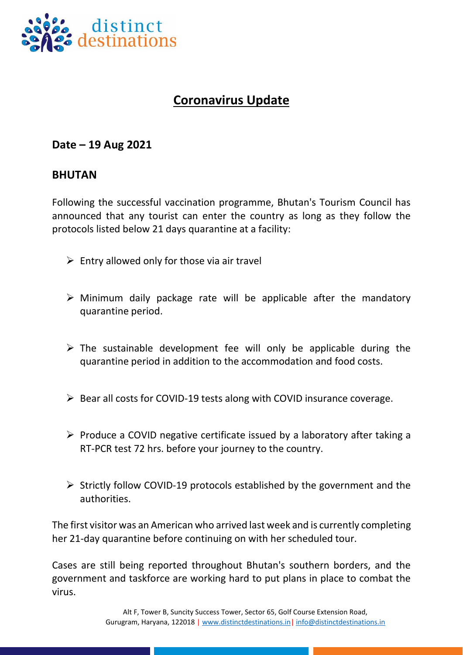

## **Coronavirus Update**

## **Date – 19 Aug 2021**

## **BHUTAN**

Following the successful vaccination programme, Bhutan's Tourism Council has announced that any tourist can enter the country as long as they follow the protocols listed below 21 days quarantine at a facility:

- $\triangleright$  Entry allowed only for those via air travel
- $\triangleright$  Minimum daily package rate will be applicable after the mandatory quarantine period.
- $\triangleright$  The sustainable development fee will only be applicable during the quarantine period in addition to the accommodation and food costs.
- ➢ Bear all costs for COVID-19 tests along with COVID insurance coverage.
- ➢ Produce a COVID negative certificate issued by a laboratory after taking a RT-PCR test 72 hrs. before your journey to the country.
- ➢ Strictly follow COVID-19 protocols established by the government and the authorities.

The first visitor was an American who arrived last week and is currently completing her 21-day quarantine before continuing on with her scheduled tour.

Cases are still being reported throughout Bhutan's southern borders, and the government and taskforce are working hard to put plans in place to combat the virus.